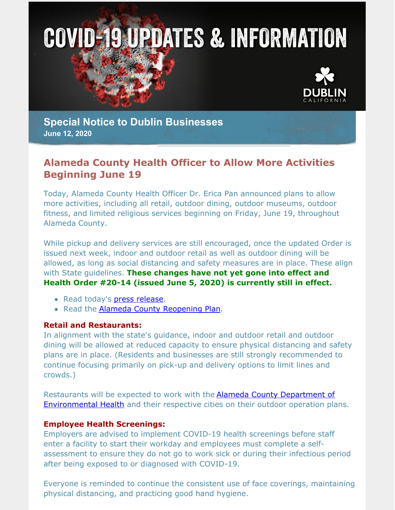



**Special Notice to Dublin Businesses June 12, 2020**

# **Alameda County Health Officer to Allow More Activities Beginning June 19**

Today, Alameda County Health Officer Dr. Erica Pan announced plans to allow more activities, including all retail, outdoor dining, outdoor museums, outdoor fitness, and limited religious services beginning on Friday, June 19, throughout Alameda County.

While pickup and delivery services are still encouraged, once the updated Order is issued next week, indoor and outdoor retail as well as outdoor dining will be allowed, as long as social distancing and safety measures are in place. These align with State guidelines. **These changes have not yet gone into effect and Health Order #20-14 (issued June 5, 2020) is currently still in effect.**

- Read today's press [release](http://www.acphd.org/media/585907/press-release-2020.06.12.pdf).
- Read the Alameda County [Reopening](http://www.acphd.org/media/584319/alameda-county-covid-19-reopening-plan-english.pdf) Plan.

### **Retail and Restaurants:**

In alignment with the state's guidance, indoor and outdoor retail and outdoor dining will be allowed at reduced capacity to ensure physical distancing and safety plans are in place. (Residents and businesses are still strongly recommended to continue focusing primarily on pick-up and delivery options to limit lines and crowds.)

Restaurants will be expected to work with the **Alameda County Department of** [Environmental](https://deh.acgov.org) Health and their respective cities on their outdoor operation plans.

#### **Employee Health Screenings:**

Employers are advised to implement COVID-19 health screenings before staff enter a facility to start their workday and employees must complete a selfassessment to ensure they do not go to work sick or during their infectious period after being exposed to or diagnosed with COVID-19.

Everyone is reminded to continue the consistent use of face coverings, maintaining physical distancing, and practicing good hand hygiene.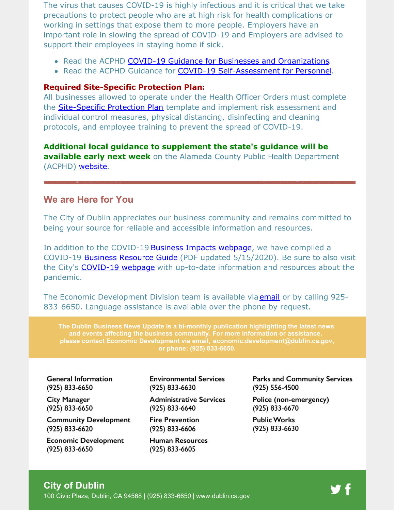The virus that causes COVID-19 is highly infectious and it is critical that we take precautions to protect people who are at high risk for health complications or working in settings that expose them to more people. Employers have an important role in slowing the spread of COVID-19 and Employers are advised to support their employees in staying home if sick.

- Read the ACPHD COVID-19 Guidance for Businesses and [Organizations](http://www.acphd.org/media/585461/acphd-covid-19-screening-guidance-for-employers-english.pdf).
- Read the ACPHD Guidance for COVID-19 [Self-Assessment](http://www.acphd.org/media/585458/acphd-covid-19-self-assessment-guidance-for-personnel-english.pdf) for Personnel.

#### **Required Site-Specific Protection Plan:**

All businesses allowed to operate under the Health Officer Orders must complete the **[Site-Specific](http://www.acphd.org/media/584337/health-officer-order-20-14-appendix-a-protection-plan-guidance-and-template-english.pdf) Protection Plan** template and implement risk assessment and individual control measures, physical distancing, disinfecting and cleaning protocols, and employee training to prevent the spread of COVID-19.

**Additional local guidance to supplement the state's guidance will be available early next week** on the Alameda County Public Health Department (ACPHD) [website](http://www.acphd.org/2019-ncov/covid-recovery.aspx).

### **We are Here for You**

The City of Dublin appreciates our business community and remains committed to being your source for reliable and accessible information and resources.

In addition to the COVID-19 **Business Impacts [webpage](https://www.dublin.ca.gov/2177/COVID-19-Business-Impacts)**, we have compiled a COVID-19 Business [Resource](https://www.dublin.ca.gov/DocumentCenter/View/22168) Guide (PDF updated 5/15/2020). Be sure to also visit the City's [COVID-19](https://www.dublin.ca.gov/coronavirus) webpage with up-to-date information and resources about the pandemic.

The Economic Development Division team is available via **[email](mailto:economic.development@dublin.ca.gov)** or by calling 925-833-6650. Language assistance is available over the phone by request.

**The Dublin Business News Update is a bi-monthly publication highlighting the latest news and events affecting the business community. For more information or assistance, please contact Economic Development via email, [economic.development@dublin.ca.gov](mailto:economic.development@dublin.ca.gov), or phone: (925) 833-6650.**

**General Information** (925) 833-6650

**City Manager** (925) 833-6650

**Community Development** (925) 833-6620

**Economic Development** (925) 833-6650

**Environmental Services** (925) 833-6630

**Administrative Services** (925) 833-6640

**Fire Prevention** (925) 833-6606

**Human Resources** (925) 833-6605

**Parks and Community Services** (925) 556-4500

Police (non-emergency) (925) 833-6670

**Public Works** (925) 833-6630

## **City of Dublin**

100 Civic Plaza, Dublin, CA 94568 | (925) 833-6650 | [www.dublin.ca.gov](http://www.dublin.ca.gov)